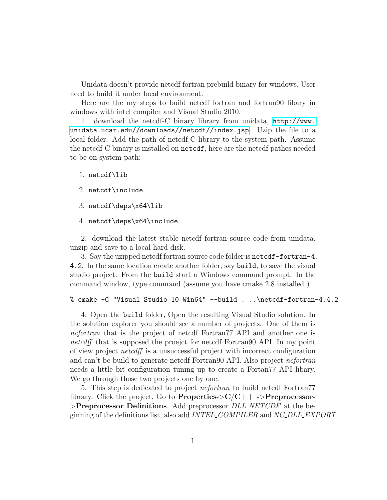Unidata doesn't provide netcdf fortran prebuild binary for windows, User need to build it under local environment.

Here are the my steps to build netcdf fortran and fortran90 libary in windows with intel compiler and Visual Studio 2010.

1. download the netcdf-C binary library from unidata, [http://www.](http://www.unidata.ucar.edu//downloads//netcdf//index.jsp) [unidata.ucar.edu//downloads//netcdf//index.jsp](http://www.unidata.ucar.edu//downloads//netcdf//index.jsp). Uzip the file to a local folder. Add the path of netcdf-C library to the system path. Assume the netcdf-C binary is installed on netcdf, here are the netcdf pathes needed to be on system path:

## 1. netcdf\lib

- 2. netcdf\include
- 3. netcdf\deps\x64\lib
- 4. netcdf\deps\x64\include

2. download the latest stable netcdf fortran source code from unidata. unzip and save to a local hard disk.

3. Say the uzipped netcdf fortran source code folder is netcdf-fortran-4. 4.2. In the same location create another folder, say build, to save the visual studio project. From the build start a Windows command prompt. In the command window, type command (assume you have cmake 2.8 installed )

% cmake -G "Visual Studio 10 Win64" --build . ..\netcdf-fortran-4.4.2

4. Open the build folder, Open the resulting Visual Studio solution. In the solution explorer you should see a number of projects. One of them is ncfortran that is the project of netcdf Fortran77 API and another one is netcdff that is supposed the proejct for netcdf Fortrango API. In my point of view project netcdff is a unsuccessful project with incorrect configuration and can't be build to generate netcdf Fortran90 API. Also project ncfortran needs a little bit configuration tuning up to create a Fortan77 API libary. We go through those two projects one by one.

5. This step is dedicated to project *nefortran* to build netcdf Fortran<sup>77</sup> library. Click the project, Go to **Properties->C** $/C++$  ->**Preprocessor-**>Preprocessor Definitions. Add preprocessor  $DLL$  NETCDF at the beginning of the definitions list, also add *INTEL\_COMPILER* and *NC\_DLL\_EXPORT*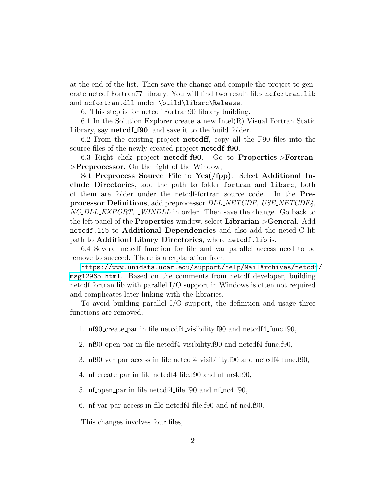at the end of the list. Then save the change and compile the project to generate netcdf Fortran77 library. You will find two result files ncfortran.lib and ncfortran.dll under \build\libsrc\Release.

6. This step is for netcdf Fortran90 library building.

6.1 In the Solution Explorer create a new  $Intel(R)$  Visual Fortran Static Library, say **netcdf\_f90**, and save it to the build folder.

6.2 From the existing project netcdff, copy all the F90 files into the source files of the newly created project netcdf f90.

6.3 Right click project netcdf f90. Go to Properties->Fortran- >Preprocessor. On the right of the Window,

Set Preprocess Source File to Yes(/fpp). Select Additional Include Directories, add the path to folder fortran and libsrc, both of them are folder under the netcdf-fortran source code. In the Preprocessor Definitions, add preprocessor DLL NETCDF, USE NETCDF4, NC DLL EXPORT, WINDLL in order. Then save the change. Go back to the left panel of the Properties window, select Librarian->General. Add netcdf.lib to Additional Dependencies and also add the netcd-C lib path to Additionl Libary Directories, where netcdf.lib is.

6.4 Several netcdf function for file and var parallel access need to be remove to succeed. There is a explanation from

[https://www.unidata.ucar.edu/support/help/MailArchives/netcdf](https://www.unidata.ucar.edu/support/help/MailArchives/netcdf/msg12965.html)/ [msg12965.html](https://www.unidata.ucar.edu/support/help/MailArchives/netcdf/msg12965.html). Based on the comments from netcdf developer, building netcdf fortran lib with parallel I/O support in Windows is often not required and complicates later linking with the libraries.

To avoid building parallel I/O support, the definition and usage three functions are removed,

- 1. nf90 create par in file netcdf4 visibility.f90 and netcdf4 func.f90,
- 2. nf90 open par in file netcdf4 visibility.f90 and netcdf4 func.f90,
- 3. nf90 var par access in file netcdf4 visibility.f90 and netcdf4 func.f90,
- 4. nf create par in file netcdf4 file.f90 and nf nc4.f90,
- 5. nf open par in file netcdf4 file.f90 and nf nc4.f90,
- 6. nf var par access in file netcdf4 file.f90 and nf nc4.f90.

This changes involves four files,